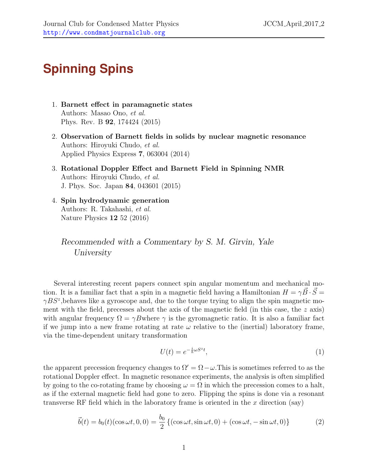## **Spinning Spins**

- 1. Barnett effect in paramagnetic states Authors: Masao Ono, et al. Phys. Rev. B 92, 174424 (2015)
- 2. Observation of Barnett fields in solids by nuclear magnetic resonance Authors: Hiroyuki Chudo, et al. Applied Physics Express 7, 063004 (2014)
- 3. Rotational Doppler Effect and Barnett Field in Spinning NMR Authors: Hiroyuki Chudo, et al. J. Phys. Soc. Japan 84, 043601 (2015)
- 4. Spin hydrodynamic generation Authors: R. Takahashi, et al. Nature Physics 12 52 (2016)

Recommended with a Commentary by S. M. Girvin, Yale University

Several interesting recent papers connect spin angular momentum and mechanical motion. It is a familiar fact that a spin in a magnetic field having a Hamiltonian  $H = \gamma B \cdot S =$  $\gamma BS^z$ , behaves like a gyroscope and, due to the torque trying to align the spin magnetic moment with the field, precesses about the axis of the magnetic field (in this case, the  $z$  axis) with angular frequency  $\Omega = \gamma B$ where  $\gamma$  is the gyromagnetic ratio. It is also a familiar fact if we jump into a new frame rotating at rate  $\omega$  relative to the (inertial) laboratory frame, via the time-dependent unitary transformation

$$
U(t) = e^{-\frac{i}{\hbar}\omega S^z t},\tag{1}
$$

the apparent precession frequency changes to  $\Omega' = \Omega - \omega$ . This is sometimes referred to as the rotational Doppler effect. In magnetic resonance experiments, the analysis is often simplified by going to the co-rotating frame by choosing  $\omega = \Omega$  in which the precession comes to a halt, as if the external magnetic field had gone to zero. Flipping the spins is done via a resonant transverse RF field which in the laboratory frame is oriented in the  $x$  direction (say)

$$
\vec{b}(t) = b_0(t)(\cos \omega t, 0, 0) = \frac{b_0}{2} \left\{ (\cos \omega t, \sin \omega t, 0) + (\cos \omega t, -\sin \omega t, 0) \right\}
$$
(2)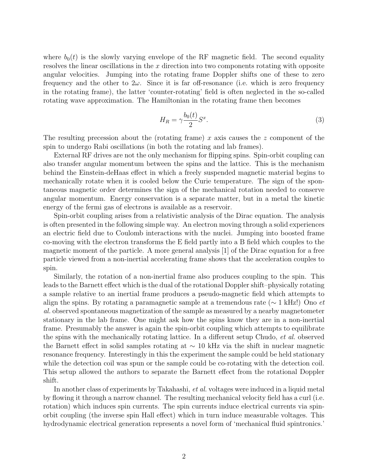where  $b_0(t)$  is the slowly varying envelope of the RF magnetic field. The second equality resolves the linear oscillations in the  $x$  direction into two components rotating with opposite angular velocities. Jumping into the rotating frame Doppler shifts one of these to zero frequency and the other to  $2\omega$ . Since it is far off-resonance (i.e. which is zero frequency in the rotating frame), the latter 'counter-rotating' field is often neglected in the so-called rotating wave approximation. The Hamiltonian in the rotating frame then becomes

$$
H_R = \gamma \frac{b_0(t)}{2} S^x. \tag{3}
$$

The resulting precession about the (rotating frame) x axis causes the  $z$  component of the spin to undergo Rabi oscillations (in both the rotating and lab frames).

External RF drives are not the only mechanism for flipping spins. Spin-orbit coupling can also transfer angular momentum between the spins and the lattice. This is the mechanism behind the Einstein-deHaas effect in which a freely suspended magnetic material begins to mechanically rotate when it is cooled below the Curie temperature. The sign of the spontaneous magnetic order determines the sign of the mechanical rotation needed to conserve angular momentum. Energy conservation is a separate matter, but in a metal the kinetic energy of the fermi gas of electrons is available as a reservoir.

Spin-orbit coupling arises from a relativistic analysis of the Dirac equation. The analysis is often presented in the following simple way. An electron moving through a solid experiences an electric field due to Coulomb interactions with the nuclei. Jumping into boosted frame co-moving with the electron transforms the E field partly into a B field which couples to the magnetic moment of the particle. A more general analysis [\[1\]](#page-2-0) of the Dirac equation for a free particle viewed from a non-inertial accelerating frame shows that the acceleration couples to spin.

Similarly, the rotation of a non-inertial frame also produces coupling to the spin. This leads to the Barnett effect which is the dual of the rotational Doppler shift–physically rotating a sample relative to an inertial frame produces a pseudo-magnetic field which attempts to align the spins. By rotating a paramagnetic sample at a tremendous rate ( $\sim 1 \text{ kHz}$ !) Ono *et* al. observed spontaneous magnetization of the sample as measured by a nearby magnetometer stationary in the lab frame. One might ask how the spins know they are in a non-inertial frame. Presumably the answer is again the spin-orbit coupling which attempts to equilibrate the spins with the mechanically rotating lattice. In a different setup Chudo, et al. observed the Barnett effect in solid samples rotating at ∼ 10 kHz via the shift in nuclear magnetic resonance frequency. Interestingly in this the experiment the sample could be held stationary while the detection coil was spun or the sample could be co-rotating with the detection coil. This setup allowed the authors to separate the Barnett effect from the rotational Doppler shift.

In another class of experiments by Takahashi, *et al.* voltages were induced in a liquid metal by flowing it through a narrow channel. The resulting mechanical velocity field has a curl (i.e. rotation) which induces spin currents. The spin currents induce electrical currents via spinorbit coupling (the inverse spin Hall effect) which in turn induce measurable voltages. This hydrodynamic electrical generation represents a novel form of 'mechanical fluid spintronics.'